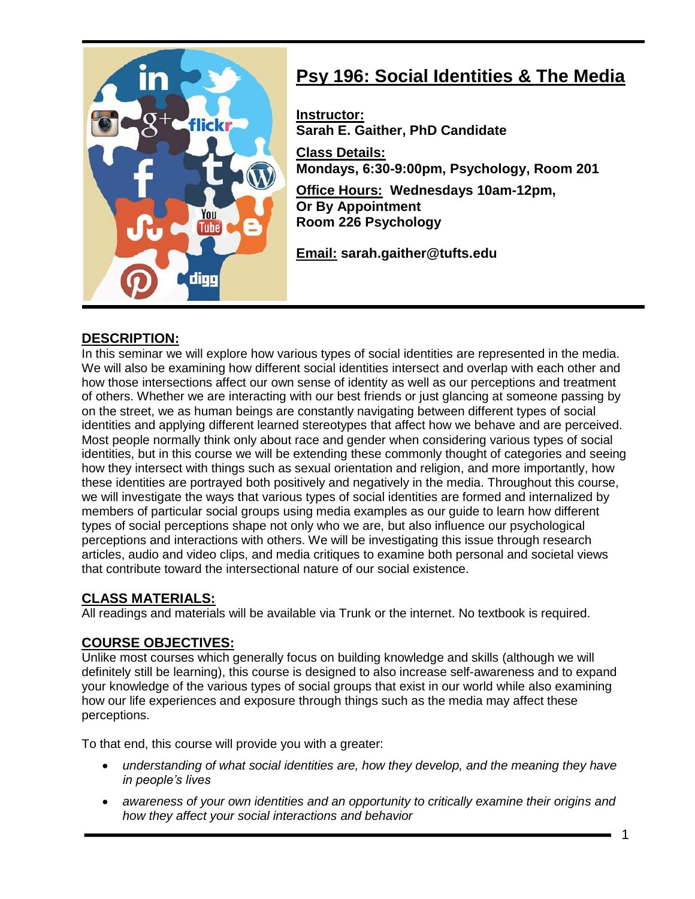

# **Psy 196: Social Identities & The Media**

**Instructor: Sarah E. Gaither, PhD Candidate Class Details: Mondays, 6:30-9:00pm, Psychology, Room 201 Office Hours: Wednesdays 10am-12pm, Or By Appointment Room 226 Psychology** 

**Email: sarah.gaither@tufts.edu** 

#### **DESCRIPTION:**

In this seminar we will explore how various types of social identities are represented in the media. We will also be examining how different social identities intersect and overlap with each other and how those intersections affect our own sense of identity as well as our perceptions and treatment of others. Whether we are interacting with our best friends or just glancing at someone passing by on the street, we as human beings are constantly navigating between different types of social identities and applying different learned stereotypes that affect how we behave and are perceived. Most people normally think only about race and gender when considering various types of social identities, but in this course we will be extending these commonly thought of categories and seeing how they intersect with things such as sexual orientation and religion, and more importantly, how these identities are portrayed both positively and negatively in the media. Throughout this course, we will investigate the ways that various types of social identities are formed and internalized by members of particular social groups using media examples as our guide to learn how different types of social perceptions shape not only who we are, but also influence our psychological perceptions and interactions with others. We will be investigating this issue through research articles, audio and video clips, and media critiques to examine both personal and societal views that contribute toward the intersectional nature of our social existence.

# **CLASS MATERIALS:**

All readings and materials will be available via Trunk or the internet. No textbook is required.

# **COURSE OBJECTIVES:**

Unlike most courses which generally focus on building knowledge and skills (although we will definitely still be learning), this course is designed to also increase self-awareness and to expand your knowledge of the various types of social groups that exist in our world while also examining how our life experiences and exposure through things such as the media may affect these perceptions.

To that end, this course will provide you with a greater:

- *understanding of what social identities are, how they develop, and the meaning they have in people's lives*
- *awareness of your own identities and an opportunity to critically examine their origins and how they affect your social interactions and behavior*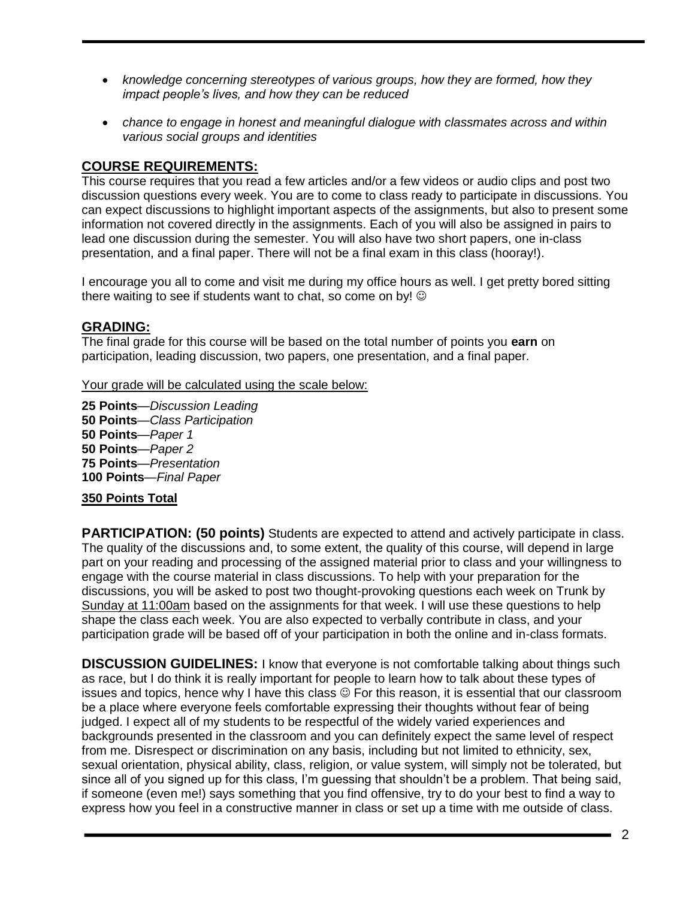- *knowledge concerning stereotypes of various groups, how they are formed, how they impact people's lives, and how they can be reduced*
- *chance to engage in honest and meaningful dialogue with classmates across and within various social groups and identities*

#### **COURSE REQUIREMENTS:**

This course requires that you read a few articles and/or a few videos or audio clips and post two discussion questions every week. You are to come to class ready to participate in discussions. You can expect discussions to highlight important aspects of the assignments, but also to present some information not covered directly in the assignments. Each of you will also be assigned in pairs to lead one discussion during the semester. You will also have two short papers, one in-class presentation, and a final paper. There will not be a final exam in this class (hooray!).

I encourage you all to come and visit me during my office hours as well. I get pretty bored sitting there waiting to see if students want to chat, so come on by!  $\odot$ 

#### **GRADING:**

The final grade for this course will be based on the total number of points you **earn** on participation, leading discussion, two papers, one presentation, and a final paper.

Your grade will be calculated using the scale below:

 **Points**—*Discussion Leading* **50 Points**—*Class Participation* **Points**—*Paper 1* **Points**—*Paper 2* **Points**—*Presentation* **100 Points**—*Final Paper*

#### **350 Points Total**

**PARTICIPATION: (50 points)** Students are expected to attend and actively participate in class. The quality of the discussions and, to some extent, the quality of this course, will depend in large part on your reading and processing of the assigned material prior to class and your willingness to engage with the course material in class discussions. To help with your preparation for the discussions, you will be asked to post two thought-provoking questions each week on Trunk by Sunday at 11:00am based on the assignments for that week. I will use these questions to help shape the class each week. You are also expected to verbally contribute in class, and your participation grade will be based off of your participation in both the online and in-class formats.

**DISCUSSION GUIDELINES:** I know that everyone is not comfortable talking about things such as race, but I do think it is really important for people to learn how to talk about these types of issues and topics, hence why I have this class  $\odot$  For this reason, it is essential that our classroom be a place where everyone feels comfortable expressing their thoughts without fear of being judged. I expect all of my students to be respectful of the widely varied experiences and backgrounds presented in the classroom and you can definitely expect the same level of respect from me. Disrespect or discrimination on any basis, including but not limited to ethnicity, sex, sexual orientation, physical ability, class, religion, or value system, will simply not be tolerated, but since all of you signed up for this class, I'm guessing that shouldn't be a problem. That being said, if someone (even me!) says something that you find offensive, try to do your best to find a way to express how you feel in a constructive manner in class or set up a time with me outside of class.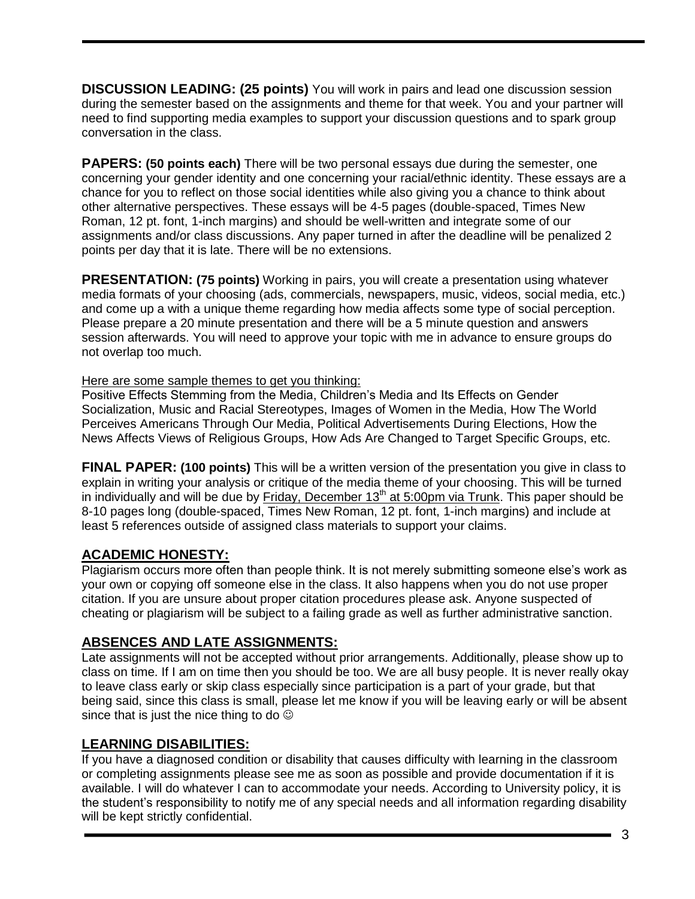**DISCUSSION LEADING: (25 points)** You will work in pairs and lead one discussion session during the semester based on the assignments and theme for that week. You and your partner will need to find supporting media examples to support your discussion questions and to spark group conversation in the class.

**PAPERS: (50 points each)** There will be two personal essays due during the semester, one concerning your gender identity and one concerning your racial/ethnic identity. These essays are a chance for you to reflect on those social identities while also giving you a chance to think about other alternative perspectives. These essays will be 4-5 pages (double-spaced, Times New Roman, 12 pt. font, 1-inch margins) and should be well-written and integrate some of our assignments and/or class discussions. Any paper turned in after the deadline will be penalized 2 points per day that it is late. There will be no extensions.

**PRESENTATION: (75 points)** Working in pairs, you will create a presentation using whatever media formats of your choosing (ads, commercials, newspapers, music, videos, social media, etc.) and come up a with a unique theme regarding how media affects some type of social perception. Please prepare a 20 minute presentation and there will be a 5 minute question and answers session afterwards. You will need to approve your topic with me in advance to ensure groups do not overlap too much.

Here are some sample themes to get you thinking:

Positive Effects Stemming from the Media, Children's Media and Its Effects on Gender Socialization, Music and Racial Stereotypes, Images of Women in the Media, How The World Perceives Americans Through Our Media, Political Advertisements During Elections, How the News Affects Views of Religious Groups, How Ads Are Changed to Target Specific Groups, etc.

**FINAL PAPER: (100 points)** This will be a written version of the presentation you give in class to explain in writing your analysis or critique of the media theme of your choosing. This will be turned in individually and will be due by Friday, December  $13<sup>th</sup>$  at 5:00pm via Trunk. This paper should be 8-10 pages long (double-spaced, Times New Roman, 12 pt. font, 1-inch margins) and include at least 5 references outside of assigned class materials to support your claims.

# **ACADEMIC HONESTY:**

Plagiarism occurs more often than people think. It is not merely submitting someone else's work as your own or copying off someone else in the class. It also happens when you do not use proper citation. If you are unsure about proper citation procedures please ask. Anyone suspected of cheating or plagiarism will be subject to a failing grade as well as further administrative sanction.

#### **ABSENCES AND LATE ASSIGNMENTS:**

Late assignments will not be accepted without prior arrangements. Additionally, please show up to class on time. If I am on time then you should be too. We are all busy people. It is never really okay to leave class early or skip class especially since participation is a part of your grade, but that being said, since this class is small, please let me know if you will be leaving early or will be absent since that is just the nice thing to do  $\odot$ 

# **LEARNING DISABILITIES:**

If you have a diagnosed condition or disability that causes difficulty with learning in the classroom or completing assignments please see me as soon as possible and provide documentation if it is available. I will do whatever I can to accommodate your needs. According to University policy, it is the student's responsibility to notify me of any special needs and all information regarding disability will be kept strictly confidential.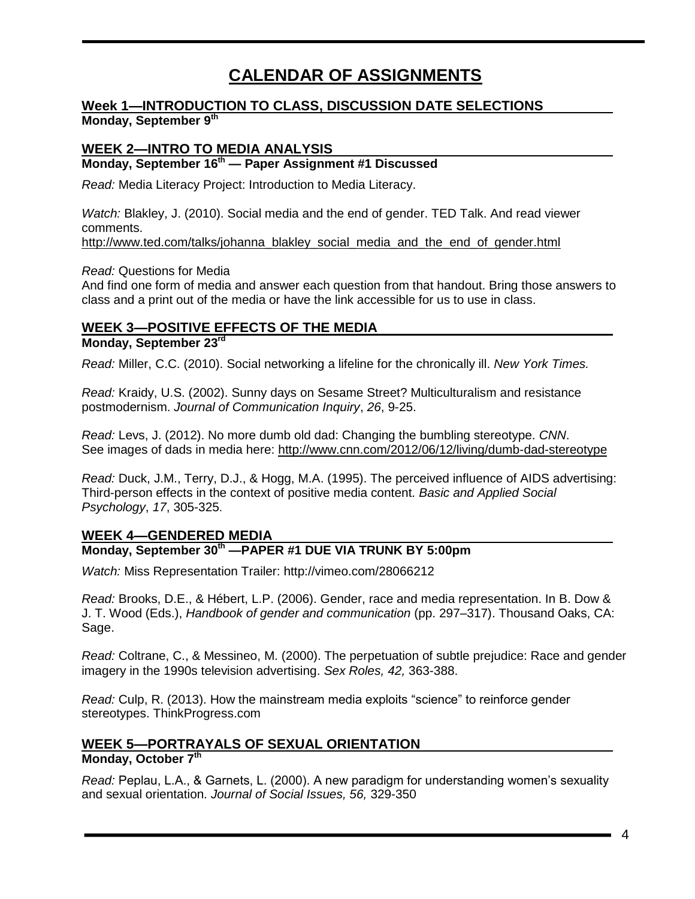# **CALENDAR OF ASSIGNMENTS**

#### **Week 1—INTRODUCTION TO CLASS, DISCUSSION DATE SELECTIONS Monday, September 9th**

#### **WEEK 2—INTRO TO MEDIA ANALYSIS**

#### **Monday, September 16th — Paper Assignment #1 Discussed**

*Read:* Media Literacy Project: Introduction to Media Literacy.

*Watch:* Blakley, J. (2010). Social media and the end of gender. TED Talk. And read viewer comments.

[http://www.ted.com/talks/johanna\\_blakley\\_social\\_media\\_and\\_the\\_end\\_of\\_gender.html](http://www.ted.com/talks/johanna_blakley_social_media_and_the_end_of_gender.html)

*Read:* Questions for Media

And find one form of media and answer each question from that handout. Bring those answers to class and a print out of the media or have the link accessible for us to use in class.

# **WEEK 3—POSITIVE EFFECTS OF THE MEDIA**

#### **Monday, September 23rd**

*Read:* Miller, C.C. (2010). Social networking a lifeline for the chronically ill. *New York Times.*

*Read:* Kraidy, U.S. (2002). Sunny days on Sesame Street? Multiculturalism and resistance postmodernism. *Journal of Communication Inquiry*, *26*, 9-25.

*Read:* Levs, J. (2012). No more dumb old dad: Changing the bumbling stereotype. *CNN*. See images of dads in media here:<http://www.cnn.com/2012/06/12/living/dumb-dad-stereotype>

*Read:* Duck, J.M., Terry, D.J., & Hogg, M.A. (1995). The perceived influence of AIDS advertising: Third-person effects in the context of positive media content. *Basic and Applied Social Psychology*, *17*, 305-325.

#### **WEEK 4—GENDERED MEDIA**

#### **Monday, September 30th —PAPER #1 DUE VIA TRUNK BY 5:00pm**

*Watch:* Miss Representation Trailer:<http://vimeo.com/28066212>

*Read:* Brooks, D.E., & Hébert, L.P. (2006). Gender, race and media representation. In B. Dow & J. T. Wood (Eds.), *Handbook of gender and communication* (pp. 297–317). Thousand Oaks, CA: Sage.

*Read:* Coltrane, C., & Messineo, M. (2000). The perpetuation of subtle prejudice: Race and gender imagery in the 1990s television advertising. *Sex Roles, 42,* 363-388.

*Read:* Culp, R. (2013). How the mainstream media exploits "science" to reinforce gender stereotypes. ThinkProgress.com

# **WEEK 5—PORTRAYALS OF SEXUAL ORIENTATION**

#### **Monday, October 7th**

*Read:* Peplau, L.A., & Garnets, L. (2000). A new paradigm for understanding women's sexuality and sexual orientation. *Journal of Social Issues, 56,* 329-350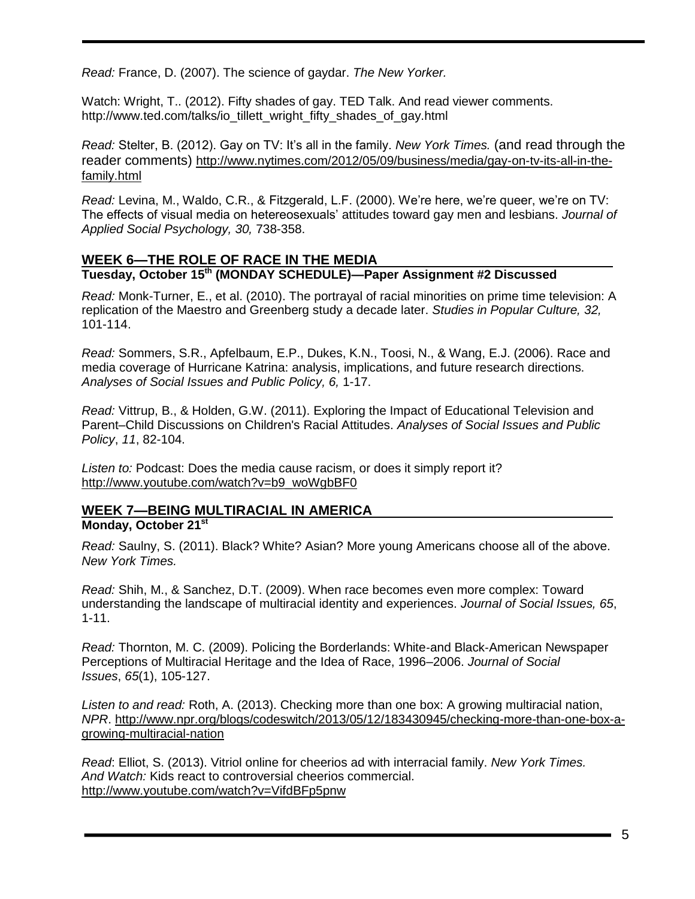*Read:* France, D. (2007). The science of gaydar. *The New Yorker.* 

Watch: Wright, T., (2012). Fifty shades of gay. TED Talk. And read viewer comments. [http://www.ted.com/talks/io\\_tillett\\_wright\\_fifty\\_shades\\_of\\_gay.html](http://www.ted.com/talks/io_tillett_wright_fifty_shades_of_gay.html)

*Read:* Stelter, B. (2012). Gay on TV: It's all in the family. *New York Times.* (and read through the reader comments) [http://www.nytimes.com/2012/05/09/business/media/gay-on-tv-its-all-in-the](http://www.nytimes.com/2012/05/09/business/media/gay-on-tv-its-all-in-the-family.html)[family.html](http://www.nytimes.com/2012/05/09/business/media/gay-on-tv-its-all-in-the-family.html)

*Read:* Levina, M., Waldo, C.R., & Fitzgerald, L.F. (2000). We're here, we're queer, we're on TV: The effects of visual media on hetereosexuals' attitudes toward gay men and lesbians. *Journal of Applied Social Psychology, 30,* 738-358.

#### **WEEK 6—THE ROLE OF RACE IN THE MEDIA Tuesday, October 15th (MONDAY SCHEDULE)—Paper Assignment #2 Discussed**

*Read:* Monk-Turner, E., et al. (2010). The portrayal of racial minorities on prime time television: A replication of the Maestro and Greenberg study a decade later. *Studies in Popular Culture, 32,* 101-114.

*Read:* Sommers, S.R., Apfelbaum, E.P., Dukes, K.N., Toosi, N., & Wang, E.J. (2006). Race and media coverage of Hurricane Katrina: analysis, implications, and future research directions. *Analyses of Social Issues and Public Policy, 6,* 1-17.

*Read:* Vittrup, B., & Holden, G.W. (2011). Exploring the Impact of Educational Television and Parent–Child Discussions on Children's Racial Attitudes. *Analyses of Social Issues and Public Policy*, *11*, 82-104.

*Listen to:* Podcast: Does the media cause racism, or does it simply report it? [http://www.youtube.com/watch?v=b9\\_woWgbBF0](http://www.youtube.com/watch?v=b9_woWgbBF0)

#### **WEEK 7—BEING MULTIRACIAL IN AMERICA Monday, October 21st**

*Read:* Saulny, S. (2011). Black? White? Asian? More young Americans choose all of the above. *New York Times.*

*Read:* Shih, M., & Sanchez, D.T. (2009). When race becomes even more complex: Toward understanding the landscape of multiracial identity and experiences. *Journal of Social Issues, 65*, 1-11.

*Read:* Thornton, M. C. (2009). Policing the Borderlands: White‐and Black‐American Newspaper Perceptions of Multiracial Heritage and the Idea of Race, 1996–2006. *Journal of Social Issues*, *65*(1), 105-127.

*Listen to and read:* Roth, A. (2013). Checking more than one box: A growing multiracial nation, *NPR*. [http://www.npr.org/blogs/codeswitch/2013/05/12/183430945/checking-more-than-one-box-a](http://www.npr.org/blogs/codeswitch/2013/05/12/183430945/checking-more-than-one-box-a-growing-multiracial-nation)[growing-multiracial-nation](http://www.npr.org/blogs/codeswitch/2013/05/12/183430945/checking-more-than-one-box-a-growing-multiracial-nation)

*Read*: Elliot, S. (2013). Vitriol online for cheerios ad with interracial family. *New York Times. And Watch:* Kids react to controversial cheerios commercial. <http://www.youtube.com/watch?v=VifdBFp5pnw>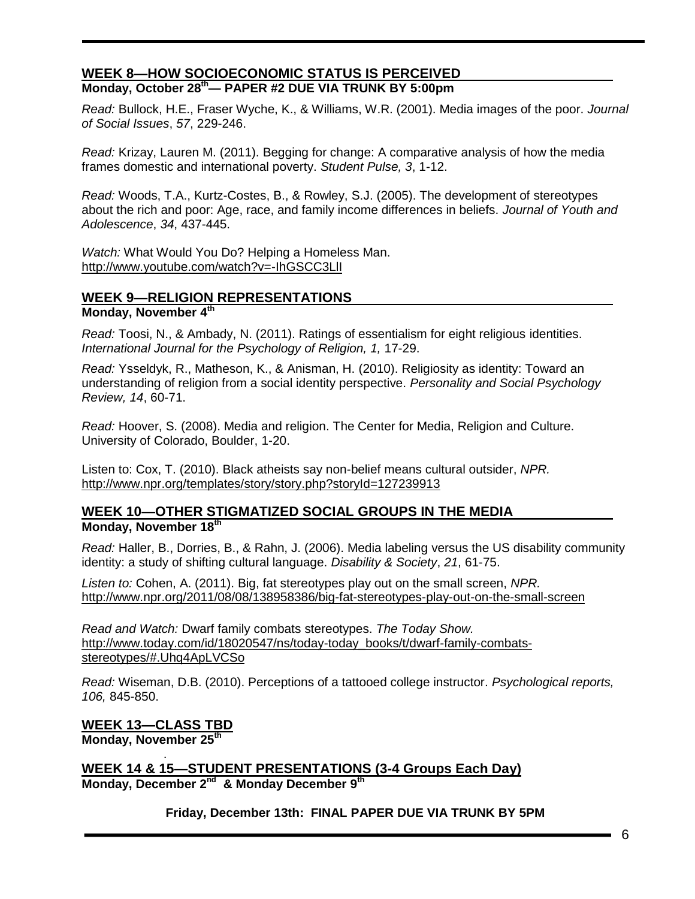#### **WEEK 8—HOW SOCIOECONOMIC STATUS IS PERCEIVED Monday, October 28th— PAPER #2 DUE VIA TRUNK BY 5:00pm**

*Read:* Bullock, H.E., Fraser Wyche, K., & Williams, W.R. (2001). Media images of the poor. *Journal of Social Issues*, *57*, 229-246.

*Read:* Krizay, Lauren M. (2011). Begging for change: A comparative analysis of how the media frames domestic and international poverty. *Student Pulse, 3*, 1-12.

*Read:* Woods, T.A., Kurtz-Costes, B., & Rowley, S.J. (2005). The development of stereotypes about the rich and poor: Age, race, and family income differences in beliefs. *Journal of Youth and Adolescence*, *34*, 437-445.

*Watch:* What Would You Do? Helping a Homeless Man. <http://www.youtube.com/watch?v=-IhGSCC3LlI>

#### **WEEK 9—RELIGION REPRESENTATIONS**

#### **Monday, November 4th**

*Read:* Toosi, N., & Ambady, N. (2011). Ratings of essentialism for eight religious identities. *International Journal for the Psychology of Religion, 1,* 17-29.

*Read:* Ysseldyk, R., Matheson, K., & Anisman, H. (2010). Religiosity as identity: Toward an understanding of religion from a social identity perspective. *Personality and Social Psychology Review, 14*, 60-71.

*Read:* Hoover, S. (2008). Media and religion. The Center for Media, Religion and Culture. University of Colorado, Boulder, 1-20.

Listen to: Cox, T. (2010). Black atheists say non-belief means cultural outsider, *NPR.* <http://www.npr.org/templates/story/story.php?storyId=127239913>

#### **WEEK 10—OTHER STIGMATIZED SOCIAL GROUPS IN THE MEDIA Monday, November 18th**

*Read:* Haller, B., Dorries, B., & Rahn, J. (2006). Media labeling versus the US disability community identity: a study of shifting cultural language. *Disability & Society*, *21*, 61-75.

*Listen to:* Cohen, A. (2011). Big, fat stereotypes play out on the small screen, *NPR.* <http://www.npr.org/2011/08/08/138958386/big-fat-stereotypes-play-out-on-the-small-screen>

*Read and Watch:* Dwarf family combats stereotypes. *The Today Show.* [http://www.today.com/id/18020547/ns/today-today\\_books/t/dwarf-family-combats](http://www.today.com/id/18020547/ns/today-today_books/t/dwarf-family-combats-stereotypes/#.Uhq4ApLVCSo)[stereotypes/#.Uhq4ApLVCSo](http://www.today.com/id/18020547/ns/today-today_books/t/dwarf-family-combats-stereotypes/#.Uhq4ApLVCSo)

*Read:* Wiseman, D.B. (2010). Perceptions of a tattooed college instructor. *Psychological reports, 106,* 845-850.

**WEEK 13—CLASS TBD Monday, November 25th**

.

**WEEK 14 & 15—STUDENT PRESENTATIONS (3-4 Groups Each Day) Monday, December 2nd & Monday December 9th**

**Friday, December 13th: FINAL PAPER DUE VIA TRUNK BY 5PM**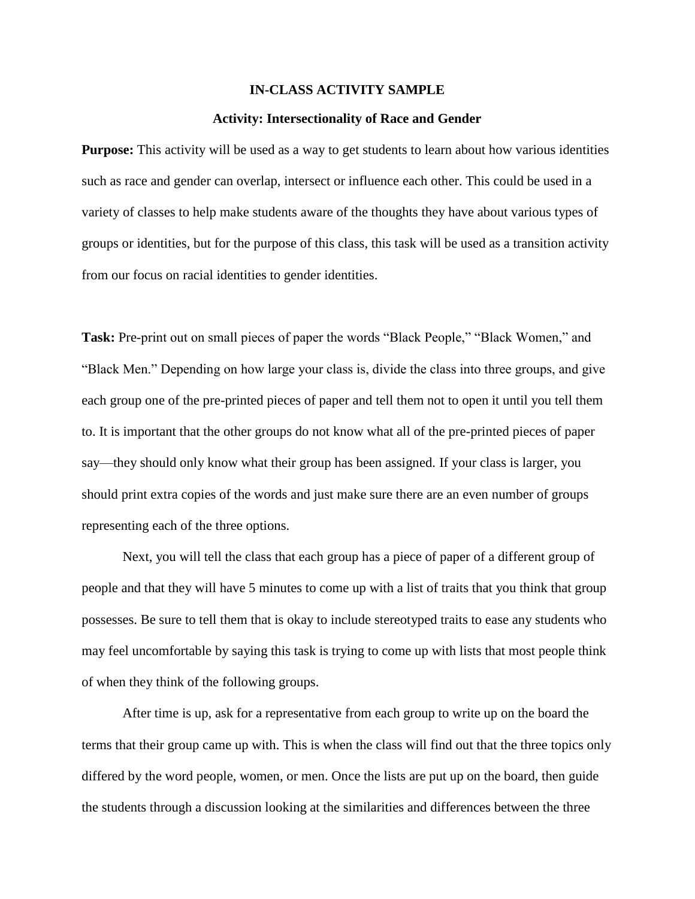#### **IN-CLASS ACTIVITY SAMPLE**

#### **Activity: Intersectionality of Race and Gender**

**Purpose:** This activity will be used as a way to get students to learn about how various identities such as race and gender can overlap, intersect or influence each other. This could be used in a variety of classes to help make students aware of the thoughts they have about various types of groups or identities, but for the purpose of this class, this task will be used as a transition activity from our focus on racial identities to gender identities.

**Task:** Pre-print out on small pieces of paper the words "Black People," "Black Women," and "Black Men." Depending on how large your class is, divide the class into three groups, and give each group one of the pre-printed pieces of paper and tell them not to open it until you tell them to. It is important that the other groups do not know what all of the pre-printed pieces of paper say—they should only know what their group has been assigned. If your class is larger, you should print extra copies of the words and just make sure there are an even number of groups representing each of the three options.

Next, you will tell the class that each group has a piece of paper of a different group of people and that they will have 5 minutes to come up with a list of traits that you think that group possesses. Be sure to tell them that is okay to include stereotyped traits to ease any students who may feel uncomfortable by saying this task is trying to come up with lists that most people think of when they think of the following groups.

After time is up, ask for a representative from each group to write up on the board the terms that their group came up with. This is when the class will find out that the three topics only differed by the word people, women, or men. Once the lists are put up on the board, then guide the students through a discussion looking at the similarities and differences between the three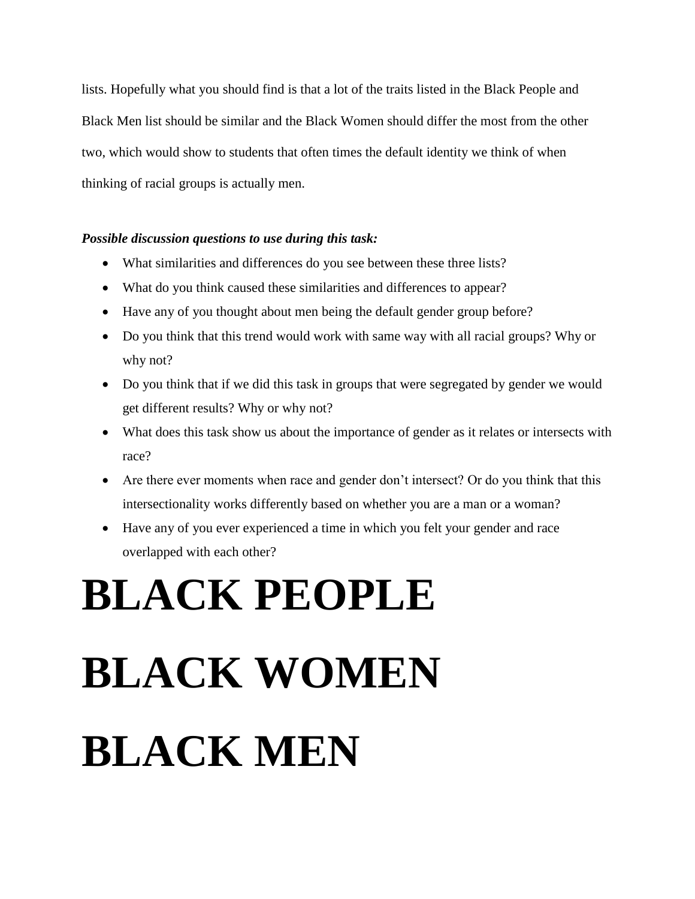lists. Hopefully what you should find is that a lot of the traits listed in the Black People and Black Men list should be similar and the Black Women should differ the most from the other two, which would show to students that often times the default identity we think of when thinking of racial groups is actually men.

#### *Possible discussion questions to use during this task:*

- What similarities and differences do you see between these three lists?
- What do you think caused these similarities and differences to appear?
- Have any of you thought about men being the default gender group before?
- Do you think that this trend would work with same way with all racial groups? Why or why not?
- Do you think that if we did this task in groups that were segregated by gender we would get different results? Why or why not?
- What does this task show us about the importance of gender as it relates or intersects with race?
- Are there ever moments when race and gender don't intersect? Or do you think that this intersectionality works differently based on whether you are a man or a woman?
- Have any of you ever experienced a time in which you felt your gender and race overlapped with each other?

# **BLACK PEOPLE**

# **BLACK WOMEN BLACK MEN**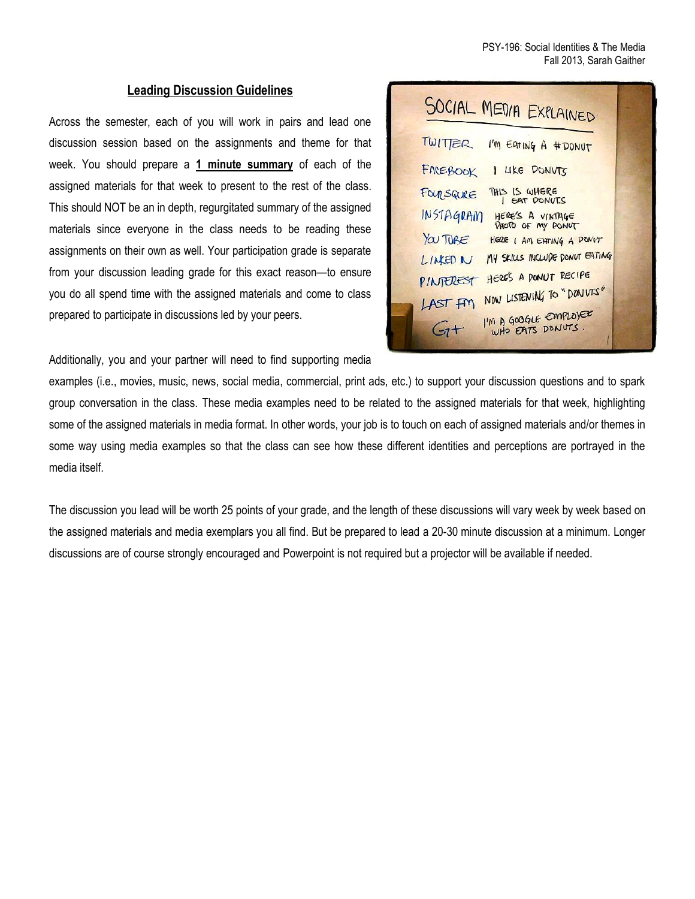#### **Leading Discussion Guidelines**

Across the semester, each of you will work in pairs and lead one discussion session based on the assignments and theme for that week. You should prepare a **1 minute summary** of each of the assigned materials for that week to present to the rest of the class. This should NOT be an in depth, regurgitated summary of the assigned materials since everyone in the class needs to be reading these assignments on their own as well. Your participation grade is separate from your discussion leading grade for this exact reason—to ensure you do all spend time with the assigned materials and come to class prepared to participate in discussions led by your peers.

| SOCIAL MEDIA EXPLAINED                                    |  |
|-----------------------------------------------------------|--|
| TWITER<br>I'M EATING A #DONUT                             |  |
| FACEBOOK<br>I LIKE DONVTS                                 |  |
| THIS IS WHERE<br>FOURSQURE<br><b>EAT DONUTS</b>           |  |
| <b>INSTAGRAM</b><br>HERE'S A VINTAGE<br>PHOTO OF MY PONUT |  |
| YOU TUBE<br>HERE I AM EATING A DON'T                      |  |
| MY SKILLS INCLUDE DONUT EATING<br>LINED N                 |  |
| HERE'S A PONUT RECIPE<br>PINTEREST                        |  |
| NOW LISTENING TO "DONVIS"<br>LAST FM                      |  |
| I'M A GOOGLE EMPLOYER<br>$G+$                             |  |

Additionally, you and your partner will need to find supporting media

examples (i.e., movies, music, news, social media, commercial, print ads, etc.) to support your discussion questions and to spark group conversation in the class. These media examples need to be related to the assigned materials for that week, highlighting some of the assigned materials in media format. In other words, your job is to touch on each of assigned materials and/or themes in some way using media examples so that the class can see how these different identities and perceptions are portrayed in the media itself.

The discussion you lead will be worth 25 points of your grade, and the length of these discussions will vary week by week based on the assigned materials and media exemplars you all find. But be prepared to lead a 20-30 minute discussion at a minimum. Longer discussions are of course strongly encouraged and Powerpoint is not required but a projector will be available if needed.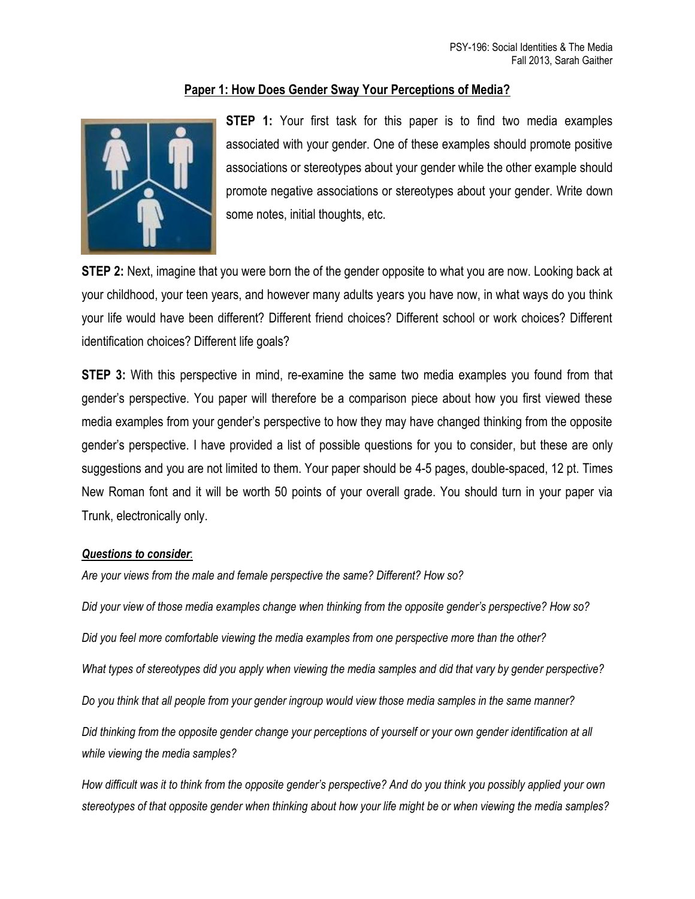#### **Paper 1: How Does Gender Sway Your Perceptions of Media?**



**STEP 1:** Your first task for this paper is to find two media examples associated with your gender. One of these examples should promote positive associations or stereotypes about your gender while the other example should promote negative associations or stereotypes about your gender. Write down some notes, initial thoughts, etc.

**STEP 2:** Next, imagine that you were born the of the gender opposite to what you are now. Looking back at your childhood, your teen years, and however many adults years you have now, in what ways do you think your life would have been different? Different friend choices? Different school or work choices? Different identification choices? Different life goals?

**STEP 3:** With this perspective in mind, re-examine the same two media examples you found from that gender's perspective. You paper will therefore be a comparison piece about how you first viewed these media examples from your gender's perspective to how they may have changed thinking from the opposite gender's perspective. I have provided a list of possible questions for you to consider, but these are only suggestions and you are not limited to them. Your paper should be 4-5 pages, double-spaced, 12 pt. Times New Roman font and it will be worth 50 points of your overall grade. You should turn in your paper via Trunk, electronically only.

#### *Questions to consider*:

*Are your views from the male and female perspective the same? Different? How so?* 

*Did your view of those media examples change when thinking from the opposite gender's perspective? How so? Did you feel more comfortable viewing the media examples from one perspective more than the other? What types of stereotypes did you apply when viewing the media samples and did that vary by gender perspective? Do you think that all people from your gender ingroup would view those media samples in the same manner? Did thinking from the opposite gender change your perceptions of yourself or your own gender identification at all while viewing the media samples?*

*How difficult was it to think from the opposite gender's perspective? And do you think you possibly applied your own stereotypes of that opposite gender when thinking about how your life might be or when viewing the media samples?*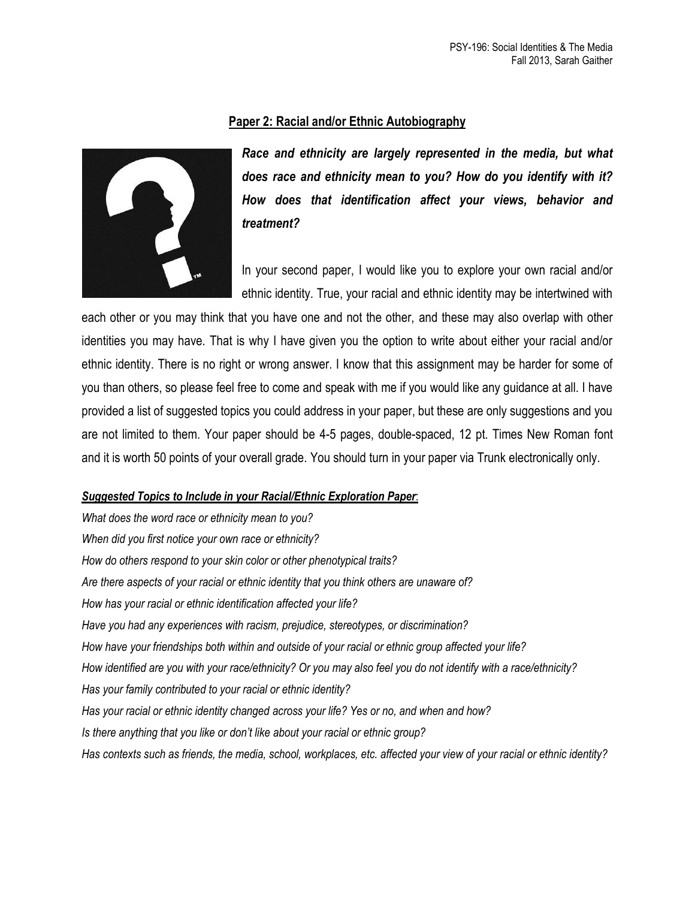#### **Paper 2: Racial and/or Ethnic Autobiography**



*Race and ethnicity are largely represented in the media, but what does race and ethnicity mean to you? How do you identify with it? How does that identification affect your views, behavior and treatment?* 

In your second paper, I would like you to explore your own racial and/or ethnic identity. True, your racial and ethnic identity may be intertwined with

each other or you may think that you have one and not the other, and these may also overlap with other identities you may have. That is why I have given you the option to write about either your racial and/or ethnic identity. There is no right or wrong answer. I know that this assignment may be harder for some of you than others, so please feel free to come and speak with me if you would like any guidance at all. I have provided a list of suggested topics you could address in your paper, but these are only suggestions and you are not limited to them. Your paper should be 4-5 pages, double-spaced, 12 pt. Times New Roman font and it is worth 50 points of your overall grade. You should turn in your paper via Trunk electronically only.

#### *Suggested Topics to Include in your Racial/Ethnic Exploration Paper*:

*What does the word race or ethnicity mean to you? When did you first notice your own race or ethnicity? How do others respond to your skin color or other phenotypical traits? Are there aspects of your racial or ethnic identity that you think others are unaware of? How has your racial or ethnic identification affected your life? Have you had any experiences with racism, prejudice, stereotypes, or discrimination? How have your friendships both within and outside of your racial or ethnic group affected your life? How identified are you with your race/ethnicity? Or you may also feel you do not identify with a race/ethnicity? Has your family contributed to your racial or ethnic identity? Has your racial or ethnic identity changed across your life? Yes or no, and when and how? Is there anything that you like or don't like about your racial or ethnic group? Has contexts such as friends, the media, school, workplaces, etc. affected your view of your racial or ethnic identity?*